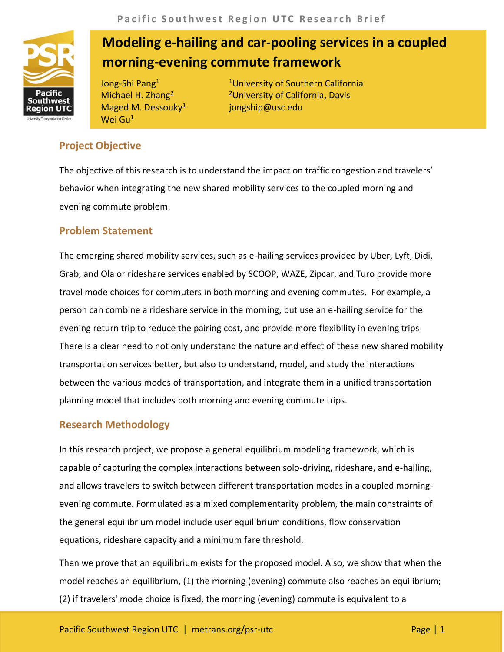

# **Modeling e-hailing and car-pooling services in a coupled morning-evening commute framework**

Jong-Shi Pang<sup>1</sup> Michael H. Zhang<sup>2</sup> Maged M. Dessouky $1$ Wei Gu<sup>1</sup>

<sup>1</sup>University of Southern California <sup>2</sup>University of California, Davis jongship@usc.edu

## **Project Objective**

The objective of this research is to understand the impact on traffic congestion and travelers' behavior when integrating the new shared mobility services to the coupled morning and evening commute problem.

## **Problem Statement**

The emerging shared mobility services, such as e-hailing services provided by Uber, Lyft, Didi, Grab, and Ola or rideshare services enabled by SCOOP, WAZE, Zipcar, and Turo provide more travel mode choices for commuters in both morning and evening commutes. For example, a person can combine a rideshare service in the morning, but use an e-hailing service for the evening return trip to reduce the pairing cost, and provide more flexibility in evening trips There is a clear need to not only understand the nature and effect of these new shared mobility transportation services better, but also to understand, model, and study the interactions between the various modes of transportation, and integrate them in a unified transportation planning model that includes both morning and evening commute trips.

### **Research Methodology**

In this research project, we propose a general equilibrium modeling framework, which is capable of capturing the complex interactions between solo-driving, rideshare, and e-hailing, and allows travelers to switch between different transportation modes in a coupled morningevening commute. Formulated as a mixed complementarity problem, the main constraints of the general equilibrium model include user equilibrium conditions, flow conservation equations, rideshare capacity and a minimum fare threshold.

Then we prove that an equilibrium exists for the proposed model. Also, we show that when the model reaches an equilibrium, (1) the morning (evening) commute also reaches an equilibrium; (2) if travelers' mode choice is fixed, the morning (evening) commute is equivalent to a